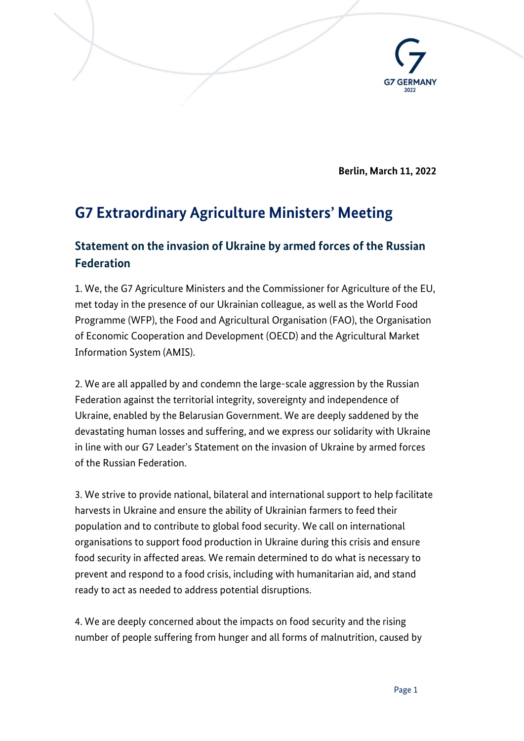

Berlin, March 11, 2022

## G7 Extraordinary Agriculture Ministers' Meeting

## Statement on the invasion of Ukraine by armed forces of the Russian **Federation**

1. We, the G7 Agriculture Ministers and the Commissioner for Agriculture of the EU, met today in the presence of our Ukrainian colleague, as well as the World Food Programme (WFP), the Food and Agricultural Organisation (FAO), the Organisation of Economic Cooperation and Development (OECD) and the Agricultural Market Information System (AMIS).

2. We are all appalled by and condemn the large-scale aggression by the Russian Federation against the territorial integrity, sovereignty and independence of Ukraine, enabled by the Belarusian Government. We are deeply saddened by the devastating human losses and suffering, and we express our solidarity with Ukraine in line with our G7 Leader's Statement on the invasion of Ukraine by armed forces of the Russian Federation.

3. We strive to provide national, bilateral and international support to help facilitate harvests in Ukraine and ensure the ability of Ukrainian farmers to feed their population and to contribute to global food security. We call on international organisations to support food production in Ukraine during this crisis and ensure food security in affected areas. We remain determined to do what is necessary to prevent and respond to a food crisis, including with humanitarian aid, and stand ready to act as needed to address potential disruptions.

4. We are deeply concerned about the impacts on food security and the rising number of people suffering from hunger and all forms of malnutrition, caused by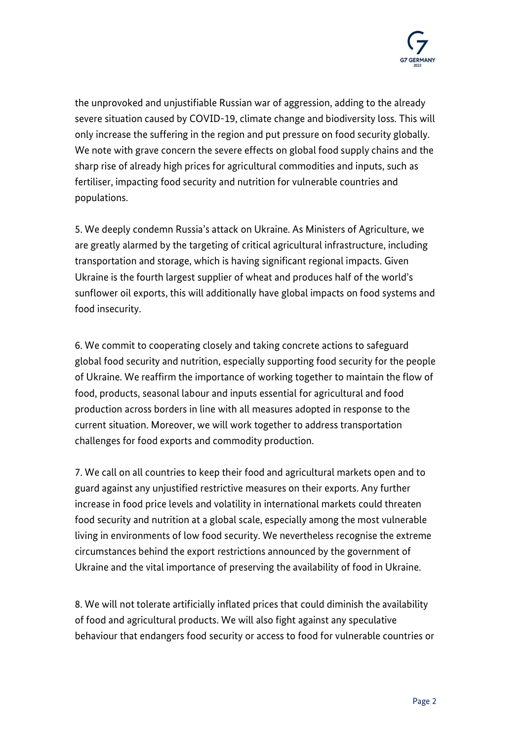

the unprovoked and unjustifiable Russian war of aggression, adding to the already severe situation caused by COVID-19, climate change and biodiversity loss. This will only increase the suffering in the region and put pressure on food security globally. We note with grave concern the severe effects on global food supply chains and the sharp rise of already high prices for agricultural commodities and inputs, such as fertiliser, impacting food security and nutrition for vulnerable countries and populations.

5. We deeply condemn Russia's attack on Ukraine. As Ministers of Agriculture, we are greatly alarmed by the targeting of critical agricultural infrastructure, including transportation and storage, which is having significant regional impacts. Given Ukraine is the fourth largest supplier of wheat and produces half of the world's sunflower oil exports, this will additionally have global impacts on food systems and food insecurity.

6. We commit to cooperating closely and taking concrete actions to safeguard global food security and nutrition, especially supporting food security for the people of Ukraine. We reaffirm the importance of working together to maintain the flow of food, products, seasonal labour and inputs essential for agricultural and food production across borders in line with all measures adopted in response to the current situation. Moreover, we will work together to address transportation challenges for food exports and commodity production.

7. We call on all countries to keep their food and agricultural markets open and to guard against any unjustified restrictive measures on their exports. Any further increase in food price levels and volatility in international markets could threaten food security and nutrition at a global scale, especially among the most vulnerable living in environments of low food security. We nevertheless recognise the extreme circumstances behind the export restrictions announced by the government of Ukraine and the vital importance of preserving the availability of food in Ukraine.

8. We will not tolerate artificially inflated prices that could diminish the availability of food and agricultural products. We will also fight against any speculative behaviour that endangers food security or access to food for vulnerable countries or